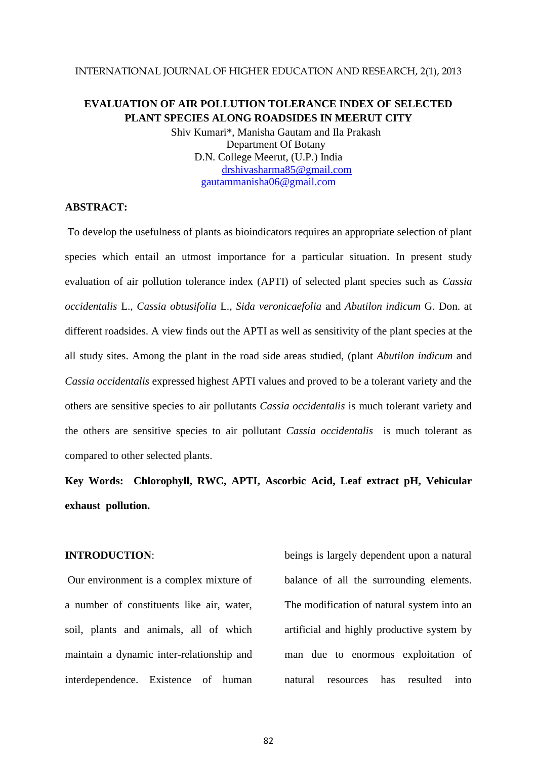### INTERNATIONAL JOURNAL OF HIGHER EDUCATION AND RESEARCH, 2(1), 2013

## **EVALUATION OF AIR POLLUTION TOLERANCE INDEX OF SELECTED PLANT SPECIES ALONG ROADSIDES IN MEERUT CITY**

Shiv Kumari\*, Manisha Gautam and Ila Prakash Department Of Botany D.N. College Meerut, (U.P.) India [drshivasharma85@gmail.com](mailto:drshivasharma85@gmail.com) [gautammanisha06@gmail.com](mailto:gautammanisha06@gmail.com)

## **ABSTRACT:**

To develop the usefulness of plants as bioindicators requires an appropriate selection of plant species which entail an utmost importance for a particular situation. In present study evaluation of air pollution tolerance index (APTI) of selected plant species such as *Cassia occidentalis* L., *Cassia obtusifolia* L., *Sida veronicaefolia* and *Abutilon indicum* G. Don. at different roadsides. A view finds out the APTI as well as sensitivity of the plant species at the all study sites. Among the plant in the road side areas studied, (plant *Abutilon indicum* and *Cassia occidentalis* expressed highest APTI values and proved to be a tolerant variety and the others are sensitive species to air pollutants *Cassia occidentalis* is much tolerant variety and the others are sensitive species to air pollutant *Cassia occidentalis* is much tolerant as compared to other selected plants.

**Key Words: Chlorophyll, RWC, APTI, Ascorbic Acid, Leaf extract pH, Vehicular exhaust pollution.** 

## **INTRODUCTION**:

Our environment is a complex mixture of a number of constituents like air, water, soil, plants and animals, all of which maintain a dynamic inter-relationship and interdependence. Existence of human beings is largely dependent upon a natural balance of all the surrounding elements. The modification of natural system into an artificial and highly productive system by man due to enormous exploitation of natural resources has resulted into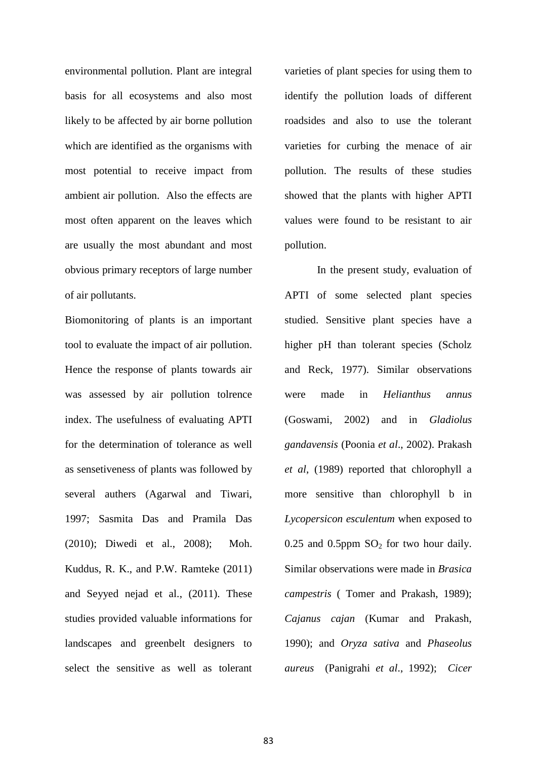environmental pollution. Plant are integral basis for all ecosystems and also most likely to be affected by air borne pollution which are identified as the organisms with most potential to receive impact from ambient air pollution. Also the effects are most often apparent on the leaves which are usually the most abundant and most obvious primary receptors of large number of air pollutants.

Biomonitoring of plants is an important tool to evaluate the impact of air pollution. Hence the response of plants towards air was assessed by air pollution tolrence index. The usefulness of evaluating APTI for the determination of tolerance as well as sensetiveness of plants was followed by several authers (Agarwal and Tiwari, 1997; Sasmita Das and Pramila Das (2010); Diwedi et al., 2008); Moh. Kuddus, R. K., and P.W. Ramteke (2011) and Seyyed nejad et al., (2011). These studies provided valuable informations for landscapes and greenbelt designers to select the sensitive as well as tolerant

varieties of plant species for using them to identify the pollution loads of different roadsides and also to use the tolerant varieties for curbing the menace of air pollution. The results of these studies showed that the plants with higher APTI values were found to be resistant to air pollution.

In the present study, evaluation of APTI of some selected plant species studied. Sensitive plant species have a higher pH than tolerant species (Scholz and Reck, 1977). Similar observations were made in *Helianthus annus* (Goswami, 2002) and in *Gladiolus gandavensis* (Poonia *et al*., 2002). Prakash *et al*, (1989) reported that chlorophyll a more sensitive than chlorophyll b in *Lycopersicon esculentum* when exposed to  $0.25$  and  $0.5$ ppm  $SO<sub>2</sub>$  for two hour daily. Similar observations were made in *Brasica campestris* ( Tomer and Prakash, 1989); *Cajanus cajan* (Kumar and Prakash, 1990); and *Oryza sativa* and *Phaseolus aureus* (Panigrahi *et al*., 1992); *Cicer*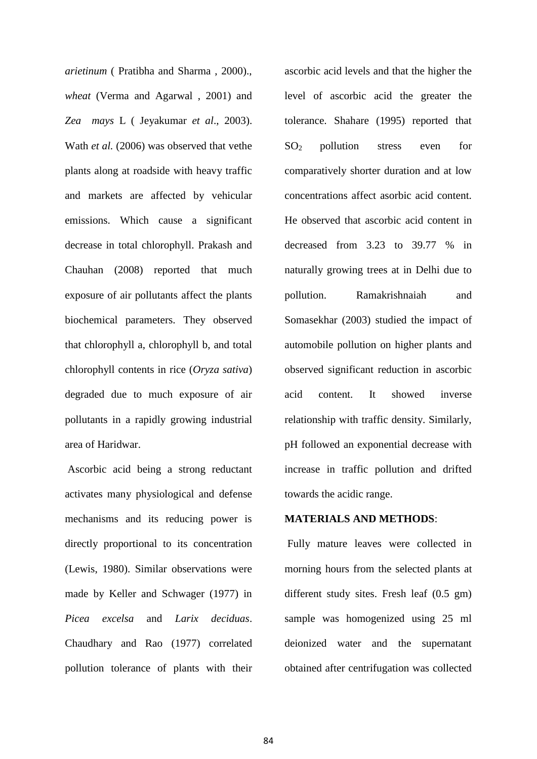*arietinum* ( Pratibha and Sharma , 2000)., *wheat* (Verma and Agarwal , 2001) and *Zea mays* L ( Jeyakumar *et al*., 2003). Wath *et al.* (2006) was observed that vethe plants along at roadside with heavy traffic and markets are affected by vehicular emissions. Which cause a significant decrease in total chlorophyll. Prakash and Chauhan (2008) reported that much exposure of air pollutants affect the plants biochemical parameters. They observed that chlorophyll a, chlorophyll b, and total chlorophyll contents in rice (*Oryza sativa*) degraded due to much exposure of air pollutants in a rapidly growing industrial area of Haridwar.

Ascorbic acid being a strong reductant activates many physiological and defense mechanisms and its reducing power is directly proportional to its concentration (Lewis, 1980). Similar observations were made by Keller and Schwager (1977) in *Picea excelsa* and *Larix deciduas*. Chaudhary and Rao (1977) correlated pollution tolerance of plants with their ascorbic acid levels and that the higher the level of ascorbic acid the greater the tolerance. Shahare (1995) reported that  $SO<sub>2</sub>$  pollution stress even for comparatively shorter duration and at low concentrations affect asorbic acid content. He observed that ascorbic acid content in decreased from 3.23 to 39.77 % in naturally growing trees at in Delhi due to pollution. Ramakrishnaiah and Somasekhar (2003) studied the impact of automobile pollution on higher plants and observed significant reduction in ascorbic acid content. It showed inverse relationship with traffic density. Similarly, pH followed an exponential decrease with increase in traffic pollution and drifted towards the acidic range.

## **MATERIALS AND METHODS**:

Fully mature leaves were collected in morning hours from the selected plants at different study sites. Fresh leaf (0.5 gm) sample was homogenized using 25 ml deionized water and the supernatant obtained after centrifugation was collected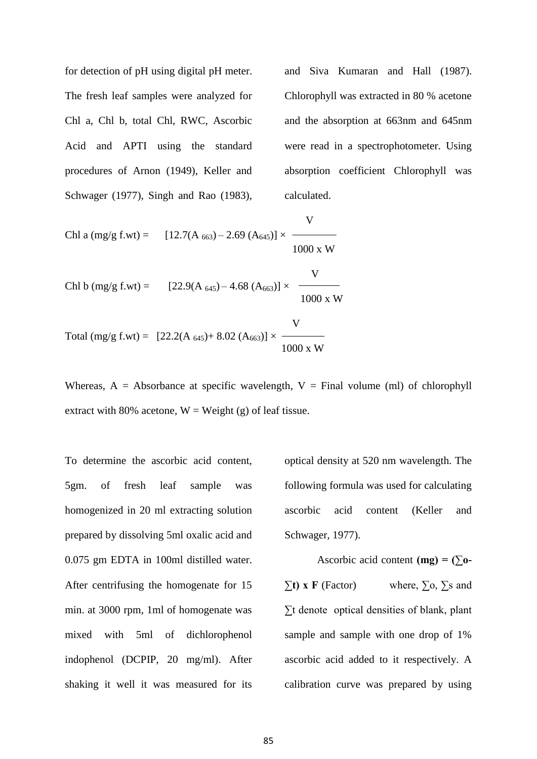for detection of pH using digital pH meter. The fresh leaf samples were analyzed for Chl a, Chl b, total Chl, RWC, Ascorbic Acid and APTI using the standard procedures of Arnon (1949), Keller and Schwager (1977), Singh and Rao (1983), and Siva Kumaran and Hall (1987). Chlorophyll was extracted in 80 % acetone and the absorption at 663nm and 645nm were read in a spectrophotometer. Using absorption coefficient Chlorophyll was calculated.

 V Chl a (mg/g f.wt) =  $[12.7(A_{663}) - 2.69 (A_{645})] \times$ 1000 x W

Chl b (mg/g f.wt) = 
$$
[22.9(A_{645}) - 4.68 (A_{663})] \times \frac{V}{1000 \text{ x W}}
$$

V Total (mg/g f.wt) =  $[22.2(A_{645})+8.02(A_{663})] \times$ 1000 x W

Whereas,  $A = Absorbance$  at specific wavelength,  $V = Final$  volume (ml) of chlorophyll extract with 80% acetone,  $W = Weight(g)$  of leaf tissue.

To determine the ascorbic acid content, 5gm. of fresh leaf sample was homogenized in 20 ml extracting solution prepared by dissolving 5ml oxalic acid and 0.075 gm EDTA in 100ml distilled water. After centrifusing the homogenate for 15 min. at 3000 rpm, 1ml of homogenate was mixed with 5ml of dichlorophenol indophenol (DCPIP, 20 mg/ml). After shaking it well it was measured for its

optical density at 520 nm wavelength. The following formula was used for calculating ascorbic acid content (Keller and Schwager, 1977).

Ascorbic acid content  $(mg) = (\sum o \Sigma$ **t)** x **F** (Factor) where,  $\Sigma$ <sub>0</sub>,  $\Sigma$ <sub>s</sub> and ∑t denote optical densities of blank, plant sample and sample with one drop of 1% ascorbic acid added to it respectively. A calibration curve was prepared by using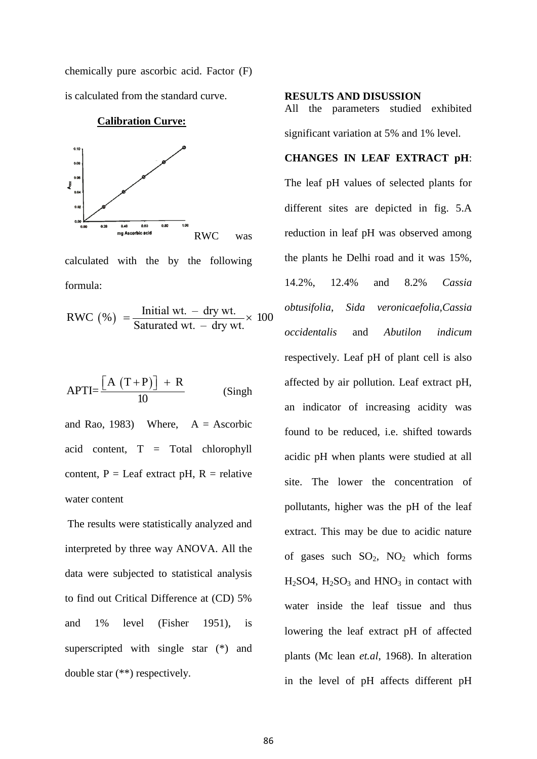chemically pure ascorbic acid. Factor (F) is calculated from the standard curve.



**Calibration Curve:**

calculated with the by the following formula:

formula:  
\n
$$
RWC\left(\% \right) = \frac{\text{Initial wt.} - \text{ dry wt.}}{\text{Satuated wt.} - \text{ dry wt.}} \times 100
$$

$$
APTI = \frac{[A (T+P)] + R}{10}
$$
 (Singh)

and Rao, 1983) Where,  $A =$  Ascorbic acid content, T = Total chlorophyll content,  $P =$  Leaf extract pH,  $R =$  relative water content

The results were statistically analyzed and interpreted by three way ANOVA. All the data were subjected to statistical analysis to find out Critical Difference at (CD) 5% and 1% level (Fisher 1951), is superscripted with single star (\*) and double star (\*\*) respectively.

## **RESULTS AND DISUSSION**

All the parameters studied exhibited significant variation at 5% and 1% level.

# **CHANGES IN LEAF EXTRACT pH**:

The leaf pH values of selected plants for different sites are depicted in fig. 5.A reduction in leaf pH was observed among the plants he Delhi road and it was 15%, 14.2%, 12.4% and 8.2% *Cassia obtusifolia*, *Sida veronicaefolia,Cassia occidentalis* and *Abutilon indicum* respectively. Leaf pH of plant cell is also affected by air pollution. Leaf extract pH, an indicator of increasing acidity was found to be reduced, i.e. shifted towards acidic pH when plants were studied at all site. The lower the concentration of pollutants, higher was the pH of the leaf extract. This may be due to acidic nature of gases such  $SO_2$ ,  $NO_2$  which forms  $H<sub>2</sub>SO4$ ,  $H<sub>2</sub>SO<sub>3</sub>$  and  $HNO<sub>3</sub>$  in contact with water inside the leaf tissue and thus lowering the leaf extract pH of affected plants (Mc lean *et.al*, 1968). In alteration in the level of pH affects different pH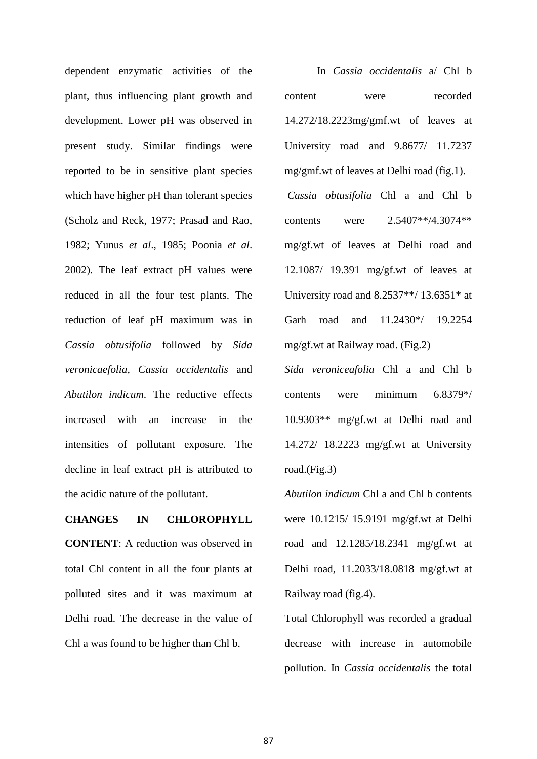dependent enzymatic activities of the plant, thus influencing plant growth and development. Lower pH was observed in present study. Similar findings were reported to be in sensitive plant species which have higher pH than tolerant species (Scholz and Reck, 1977; Prasad and Rao, 1982; Yunus *et al*., 1985; Poonia *et al*. 2002). The leaf extract pH values were reduced in all the four test plants. The reduction of leaf pH maximum was in *Cassia obtusifolia* followed by *Sida veronicaefolia, Cassia occidentalis* and *Abutilon indicum*. The reductive effects increased with an increase in the intensities of pollutant exposure. The decline in leaf extract pH is attributed to the acidic nature of the pollutant.

## **CHANGES IN CHLOROPHYLL**

**CONTENT**: A reduction was observed in total Chl content in all the four plants at polluted sites and it was maximum at Delhi road. The decrease in the value of Chl a was found to be higher than Chl b.

In *Cassia occidentalis* a/ Chl b content were recorded 14.272/18.2223mg/gmf.wt of leaves at University road and 9.8677/ 11.7237 mg/gmf.wt of leaves at Delhi road (fig.1). *Cassia obtusifolia* Chl a and Chl b contents were 2.5407\*\*/4.3074\*\* mg/gf.wt of leaves at Delhi road and 12.1087/ 19.391 mg/gf.wt of leaves at University road and  $8.2537**/13.6351*$  at Garh road and 11.2430\*/ 19.2254 mg/gf.wt at Railway road. (Fig.2)

*Sida veroniceafolia* Chl a and Chl b contents were minimum 6.8379\*/ 10.9303\*\* mg/gf.wt at Delhi road and 14.272/ 18.2223 mg/gf.wt at University road.(Fig.3)

*Abutilon indicum* Chl a and Chl b contents were 10.1215/ 15.9191 mg/gf.wt at Delhi road and 12.1285/18.2341 mg/gf.wt at Delhi road, 11.2033/18.0818 mg/gf.wt at Railway road (fig.4).

Total Chlorophyll was recorded a gradual decrease with increase in automobile pollution. In *Cassia occidentalis* the total

87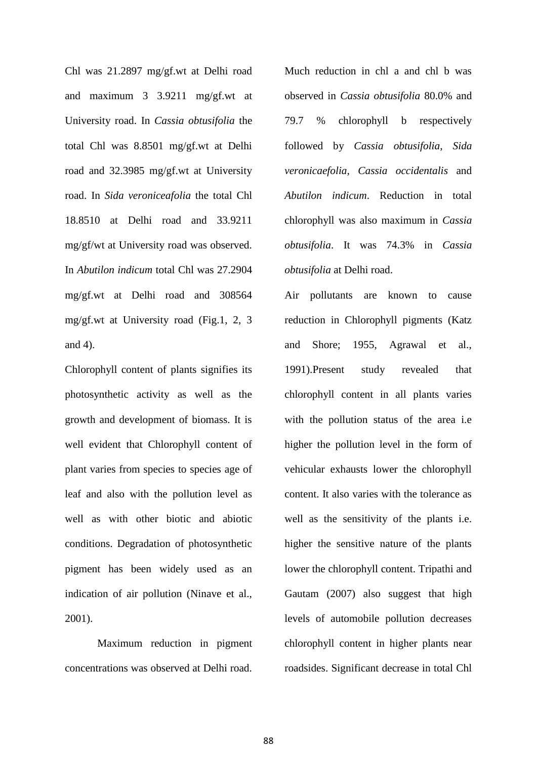Chl was 21.2897 mg/gf.wt at Delhi road and maximum 3 3.9211 mg/gf.wt at University road. In *Cassia obtusifolia* the total Chl was 8.8501 mg/gf.wt at Delhi road and 32.3985 mg/gf.wt at University road. In *Sida veroniceafolia* the total Chl 18.8510 at Delhi road and 33.9211 mg/gf/wt at University road was observed. In *Abutilon indicum* total Chl was 27.2904 mg/gf.wt at Delhi road and 308564 mg/gf.wt at University road (Fig.1, 2, 3 and 4).

Chlorophyll content of plants signifies its photosynthetic activity as well as the growth and development of biomass. It is well evident that Chlorophyll content of plant varies from species to species age of leaf and also with the pollution level as well as with other biotic and abiotic conditions. Degradation of photosynthetic pigment has been widely used as an indication of air pollution (Ninave et al., 2001).

Maximum reduction in pigment concentrations was observed at Delhi road.

Much reduction in chl a and chl b was observed in *Cassia obtusifolia* 80.0% and 79.7 % chlorophyll b respectively followed by *Cassia obtusifolia, Sida veronicaefolia, Cassia occidentalis* and *Abutilon indicum*. Reduction in total chlorophyll was also maximum in *Cassia obtusifolia*. It was 74.3% in *Cassia obtusifolia* at Delhi road.

Air pollutants are known to cause reduction in Chlorophyll pigments (Katz and Shore; 1955, Agrawal et al., 1991).Present study revealed that chlorophyll content in all plants varies with the pollution status of the area *i.e* higher the pollution level in the form of vehicular exhausts lower the chlorophyll content. It also varies with the tolerance as well as the sensitivity of the plants i.e. higher the sensitive nature of the plants lower the chlorophyll content. Tripathi and Gautam (2007) also suggest that high levels of automobile pollution decreases chlorophyll content in higher plants near roadsides. Significant decrease in total Chl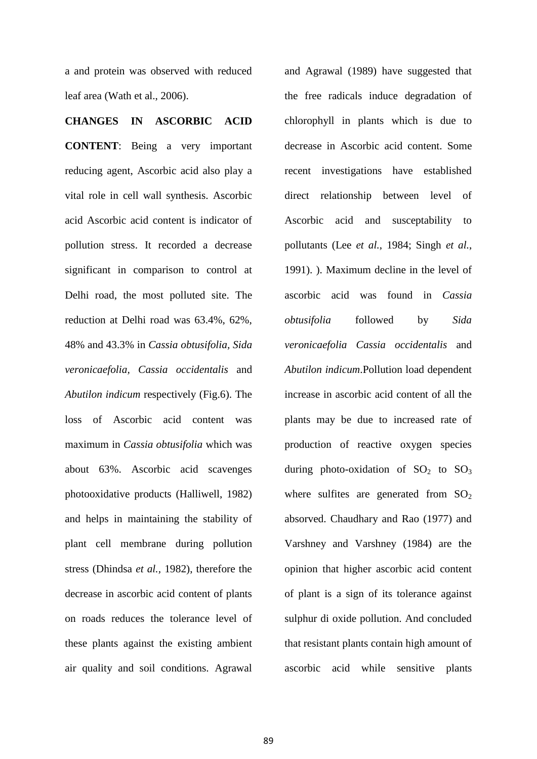a and protein was observed with reduced leaf area (Wath et al., 2006).

## **CHANGES IN ASCORBIC ACID**

**CONTENT**: Being a very important reducing agent, Ascorbic acid also play a vital role in cell wall synthesis. Ascorbic acid Ascorbic acid content is indicator of pollution stress. It recorded a decrease significant in comparison to control at Delhi road, the most polluted site. The reduction at Delhi road was 63.4%, 62%, 48% and 43.3% in *Cassia obtusifolia, Sida veronicaefolia, Cassia occidentalis* and *Abutilon indicum* respectively (Fig.6). The loss of Ascorbic acid content was maximum in *Cassia obtusifolia* which was about 63%. Ascorbic acid scavenges photooxidative products (Halliwell, 1982) and helps in maintaining the stability of plant cell membrane during pollution stress (Dhindsa *et al.,* 1982), therefore the decrease in ascorbic acid content of plants on roads reduces the tolerance level of these plants against the existing ambient air quality and soil conditions. Agrawal

and Agrawal (1989) have suggested that the free radicals induce degradation of chlorophyll in plants which is due to decrease in Ascorbic acid content. Some recent investigations have established direct relationship between level of Ascorbic acid and susceptability to pollutants (Lee *et al.*, 1984; Singh *et al.*, 1991). ). Maximum decline in the level of ascorbic acid was found in *Cassia obtusifolia* followed by *Sida veronicaefolia Cassia occidentalis* and *Abutilon indicum*.Pollution load dependent increase in ascorbic acid content of all the plants may be due to increased rate of production of reactive oxygen species during photo-oxidation of  $SO_2$  to  $SO_3$ where sulfites are generated from  $SO<sub>2</sub>$ absorved. Chaudhary and Rao (1977) and Varshney and Varshney (1984) are the opinion that higher ascorbic acid content of plant is a sign of its tolerance against sulphur di oxide pollution. And concluded that resistant plants contain high amount of ascorbic acid while sensitive plants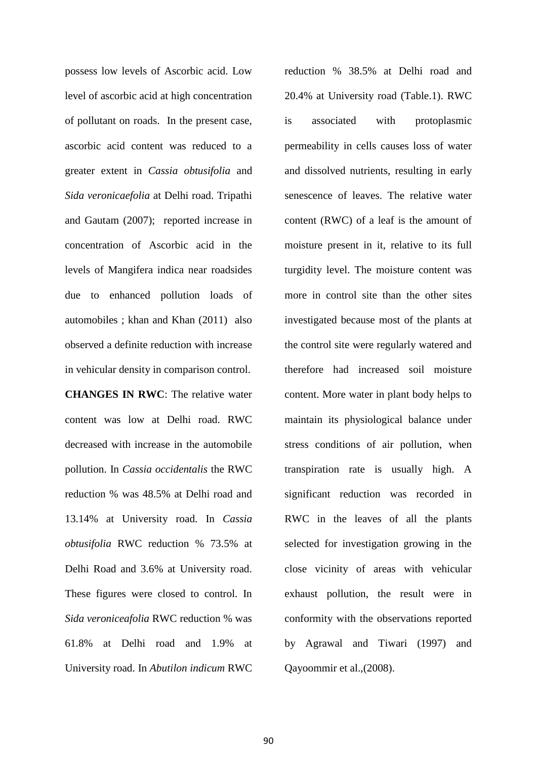possess low levels of Ascorbic acid. Low level of ascorbic acid at high concentration of pollutant on roads. In the present case, ascorbic acid content was reduced to a greater extent in *Cassia obtusifolia* and *Sida veronicaefolia* at Delhi road. Tripathi and Gautam (2007); reported increase in concentration of Ascorbic acid in the levels of Mangifera indica near roadsides due to enhanced pollution loads of automobiles ; khan and Khan (2011) also observed a definite reduction with increase in vehicular density in comparison control.

**CHANGES IN RWC**: The relative water content was low at Delhi road. RWC decreased with increase in the automobile pollution. In *Cassia occidentalis* the RWC reduction % was 48.5% at Delhi road and 13.14% at University road. In *Cassia obtusifolia* RWC reduction % 73.5% at Delhi Road and 3.6% at University road. These figures were closed to control. In *Sida veroniceafolia* RWC reduction % was 61.8% at Delhi road and 1.9% at University road. In *Abutilon indicum* RWC

reduction % 38.5% at Delhi road and 20.4% at University road (Table.1). RWC is associated with protoplasmic permeability in cells causes loss of water and dissolved nutrients, resulting in early senescence of leaves. The relative water content (RWC) of a leaf is the amount of moisture present in it, relative to its full turgidity level. The moisture content was more in control site than the other sites investigated because most of the plants at the control site were regularly watered and therefore had increased soil moisture content. More water in plant body helps to maintain its physiological balance under stress conditions of air pollution, when transpiration rate is usually high. A significant reduction was recorded in RWC in the leaves of all the plants selected for investigation growing in the close vicinity of areas with vehicular exhaust pollution, the result were in conformity with the observations reported by Agrawal and Tiwari (1997) and Qayoommir et al.,(2008).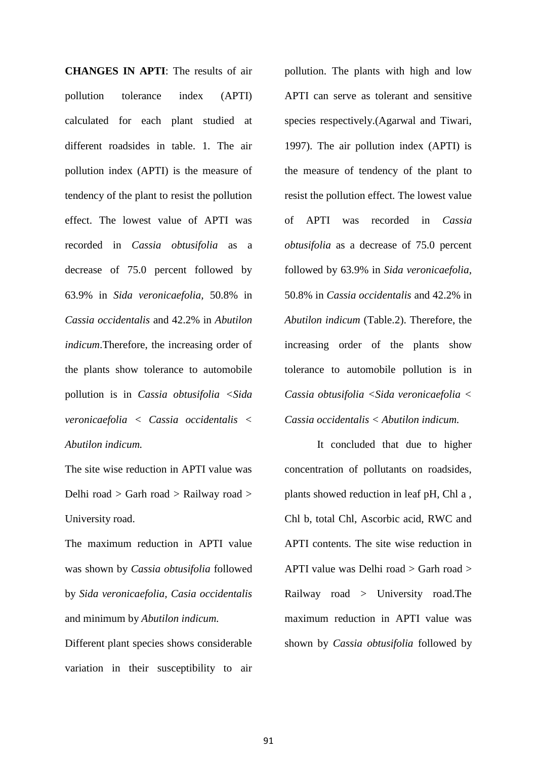**CHANGES IN APTI**: The results of air pollution tolerance index (APTI) calculated for each plant studied at different roadsides in table. 1. The air pollution index (APTI) is the measure of tendency of the plant to resist the pollution effect. The lowest value of APTI was recorded in *Cassia obtusifolia* as a decrease of 75.0 percent followed by 63.9% in *Sida veronicaefolia,* 50.8% in *Cassia occidentalis* and 42.2% in *Abutilon indicum*.Therefore, the increasing order of the plants show tolerance to automobile pollution is in *Cassia obtusifolia <Sida veronicaefolia < Cassia occidentalis < Abutilon indicum.* 

The site wise reduction in APTI value was Delhi road > Garh road > Railway road > University road.

The maximum reduction in APTI value was shown by *Cassia obtusifolia* followed by *Sida veronicaefolia, Casia occidentalis*  and minimum by *Abutilon indicum.*

Different plant species shows considerable variation in their susceptibility to air

pollution. The plants with high and low APTI can serve as tolerant and sensitive species respectively.(Agarwal and Tiwari, 1997). The air pollution index (APTI) is the measure of tendency of the plant to resist the pollution effect. The lowest value of APTI was recorded in *Cassia obtusifolia* as a decrease of 75.0 percent followed by 63.9% in *Sida veronicaefolia,*  50.8% in *Cassia occidentalis* and 42.2% in *Abutilon indicum* (Table.2). Therefore, the increasing order of the plants show tolerance to automobile pollution is in *Cassia obtusifolia <Sida veronicaefolia < Cassia occidentalis < Abutilon indicum.* 

It concluded that due to higher concentration of pollutants on roadsides, plants showed reduction in leaf pH, Chl a , Chl b, total Chl, Ascorbic acid, RWC and APTI contents. The site wise reduction in APTI value was Delhi road > Garh road > Railway road > University road.The maximum reduction in APTI value was shown by *Cassia obtusifolia* followed by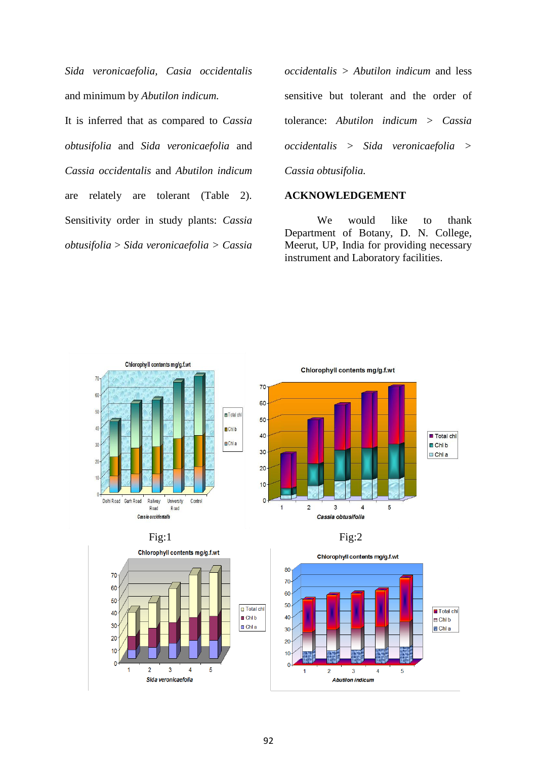*Sida veronicaefolia, Casia occidentalis*  and minimum by *Abutilon indicum.*

It is inferred that as compared to *Cassia obtusifolia* and *Sida veronicaefolia* and *Cassia occidentalis* and *Abutilon indicum*  are relately are tolerant (Table 2). Sensitivity order in study plants: *Cassia obtusifolia* > *Sida veronicaefolia > Cassia*  *occidentalis > Abutilon indicum* and less sensitive but tolerant and the order of tolerance: *Abutilon indicum > Cassia occidentalis > Sida veronicaefolia > Cassia obtusifolia.*

## **ACKNOWLEDGEMENT**

We would like to thank Department of Botany, D. N. College, Meerut, UP, India for providing necessary instrument and Laboratory facilities.







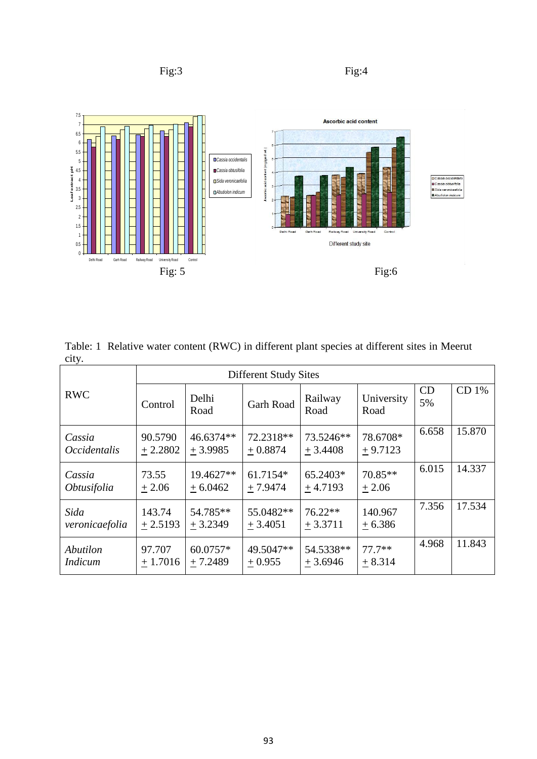





Table: 1 Relative water content (RWC) in different plant species at different sites in Meerut city.

|                               | <b>Different Study Sites</b> |                        |                        |                        |                       |          |        |  |
|-------------------------------|------------------------------|------------------------|------------------------|------------------------|-----------------------|----------|--------|--|
| <b>RWC</b>                    | Control                      | Delhi<br>Road          | <b>Garh Road</b>       | Railway<br>Road        | University<br>Road    | CD<br>5% | CD 1%  |  |
| Cassia<br><i>Occidentalis</i> | 90.5790<br>$+2.2802$         | 46.6374**<br>$+3.9985$ | 72.2318**<br>$+0.8874$ | 73.5246**<br>$+3.4408$ | 78.6708*<br>$+9.7123$ | 6.658    | 15.870 |  |
| Cassia<br><i>Obtusifolia</i>  | 73.55<br>$+2.06$             | 19.4627**<br>$+6.0462$ | 61.7154*<br>$+7.9474$  | 65.2403*<br>$+4.7193$  | $70.85**$<br>$+2.06$  | 6.015    | 14.337 |  |
| Sida<br>veronicaefolia        | 143.74<br>$+2.5193$          | 54.785**<br>$+3.2349$  | 55.0482**<br>$+3.4051$ | $76.22**$<br>$+3.3711$ | 140.967<br>$+6.386$   | 7.356    | 17.534 |  |
| Abutilon<br><i>Indicum</i>    | 97.707<br>$+1.7016$          | 60.0757*<br>$+7.2489$  | 49.5047**<br>$+0.955$  | 54.5338**<br>$+3.6946$ | $77.7**$<br>$+8.314$  | 4.968    | 11.843 |  |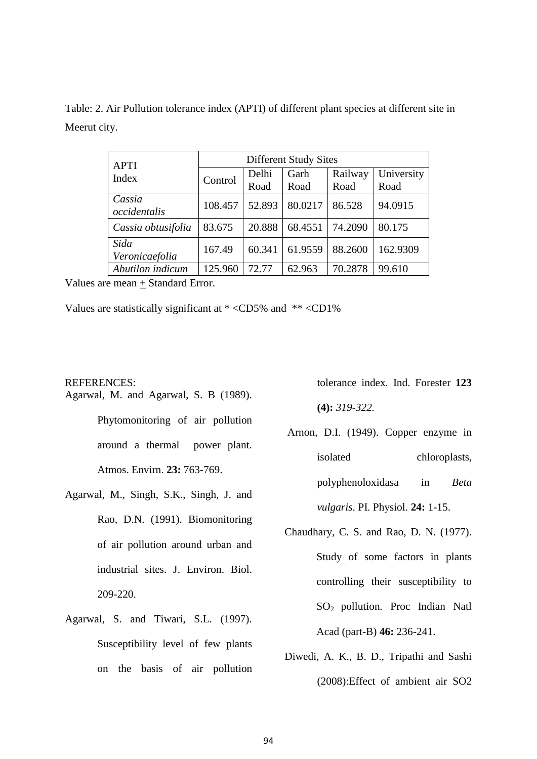|              |  |  |  | Table: 2. Air Pollution tolerance index (APTI) of different plant species at different site in |
|--------------|--|--|--|------------------------------------------------------------------------------------------------|
| Meerut city. |  |  |  |                                                                                                |

| <b>APTI</b>            | <b>Different Study Sites</b> |        |         |         |            |  |
|------------------------|------------------------------|--------|---------|---------|------------|--|
| Index                  | Control                      | Delhi  | Garh    | Railway | University |  |
|                        |                              | Road   | Road    | Road    | Road       |  |
| Cassia<br>occidentalis | 108.457                      | 52.893 | 80.0217 | 86.528  | 94.0915    |  |
| Cassia obtusifolia     | 83.675                       | 20.888 | 68.4551 | 74.2090 | 80.175     |  |
| Sida<br>Veronicaefolia | 167.49                       | 60.341 | 61.9559 | 88.2600 | 162.9309   |  |
| Abutilon indicum       | 125.960                      | 72.77  | 62.963  | 70.2878 | 99.610     |  |

Values are mean + Standard Error.

Values are statistically significant at \* <CD5% and \*\* <CD1%

## REFERENCES:

- Agarwal, M. and Agarwal, S. B (1989). Phytomonitoring of air pollution around a thermal power plant. Atmos. Envirn. **23:** 763-769.
- Agarwal, M., Singh, S.K., Singh, J. and Rao, D.N. (1991). Biomonitoring of air pollution around urban and industrial sites. J. Environ. Biol. 209-220.
- Agarwal, S. and Tiwari, S.L. (1997). Susceptibility level of few plants on the basis of air pollution

tolerance index*.* Ind. Forester **123 (4):** *319-322.*

- Arnon, D.I. (1949). Copper enzyme in isolated chloroplasts, polyphenoloxidasa in *Beta vulgaris*. PI. Physiol. **24:** 1-15.
- Chaudhary, C. S. and Rao, D. N. (1977). Study of some factors in plants controlling their susceptibility to SO2 pollution*.* Proc Indian Natl Acad (part-B) **46:** 236-241.
- Diwedi, A. K., B. D., Tripathi and Sashi (2008):Effect of ambient air SO2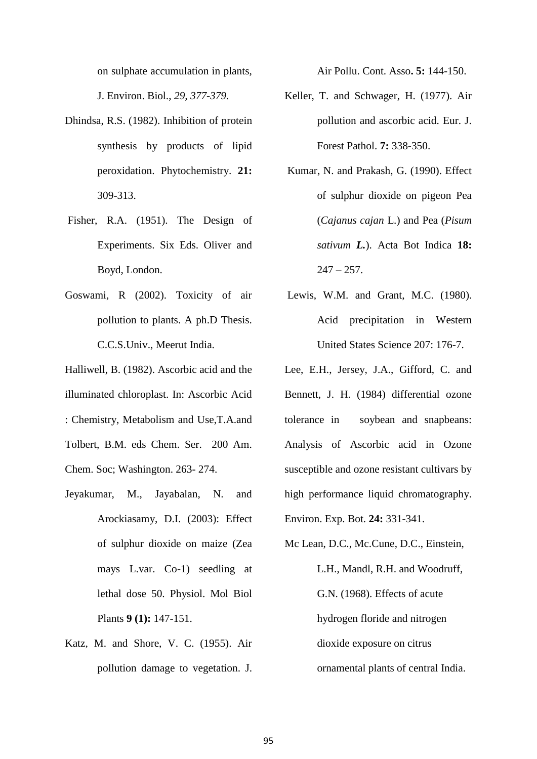on sulphate accumulation in plants, J. Environ. Biol., *29, 377-379.*

- Dhindsa, R.S. (1982). Inhibition of protein synthesis by products of lipid peroxidation. Phytochemistry. **21:** 309-313.
- Fisher, R.A. (1951). The Design of Experiments. Six Eds. Oliver and Boyd, London.
- Goswami, R (2002). Toxicity of air pollution to plants. A ph.D Thesis. C.C.S.Univ., Meerut India.

Halliwell, B. (1982). Ascorbic acid and the illuminated chloroplast. In: Ascorbic Acid : Chemistry, Metabolism and Use,T.A.and Tolbert, B.M. eds Chem. Ser. 200 Am. Chem. Soc; Washington. 263- 274.

- Jeyakumar, M., Jayabalan, N. and Arockiasamy, D.I. (2003): Effect of sulphur dioxide on maize (Zea mays L.var. Co-1) seedling at lethal dose 50. Physiol. Mol Biol Plants **9 (1):** 147-151.
- Katz, M. and Shore, V. C. (1955). Air pollution damage to vegetation. J.

Air Pollu. Cont. Asso**. 5:** 144-150.

- Keller, T. and Schwager, H. (1977). Air pollution and ascorbic acid. Eur. J. Forest Pathol. **7:** 338-350.
- Kumar, N. and Prakash, G. (1990). Effect of sulphur dioxide on pigeon Pea (*Cajanus cajan* L.) and Pea (*Pisum sativum L.*). Acta Bot Indica **18:**  $247 - 257$ .
- Lewis, W.M. and Grant, M.C. (1980). Acid precipitation in Western United States Science 207: 176-7.
- Lee, E.H., Jersey, J.A., Gifford, C. and Bennett, J. H. (1984) differential ozone tolerance in soybean and snapbeans: Analysis of Ascorbic acid in Ozone susceptible and ozone resistant cultivars by high performance liquid chromatography. Environ. Exp. Bot. **24:** 331-341.
- Mc Lean, D.C., Mc.Cune, D.C., Einstein, L.H., Mandl, R.H. and Woodruff, G.N. (1968). Effects of acute hydrogen floride and nitrogen dioxide exposure on citrus ornamental plants of central India.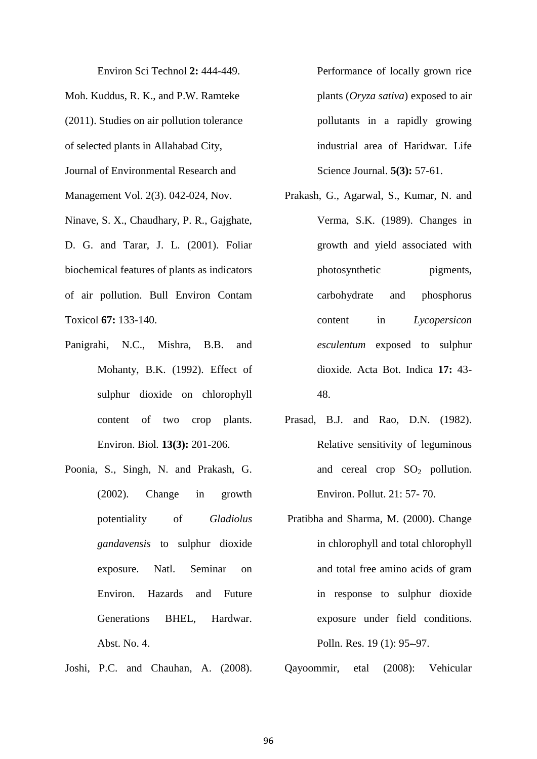Environ Sci Technol **2:** 444-449. Moh. Kuddus, R. K., and P.W. Ramteke (2011). Studies on air pollution tolerance of selected plants in Allahabad City, Journal of Environmental Research and Management Vol. 2(3). 042-024, Nov. Ninave, S. X., Chaudhary, P. R., Gajghate, D. G. and Tarar, J. L. (2001). Foliar biochemical features of plants as indicators of air pollution. Bull Environ Contam Toxicol **67:** 133-140.

- Panigrahi, N.C., Mishra, B.B. and Mohanty, B.K. (1992). Effect of sulphur dioxide on chlorophyll content of two crop plants. Environ. Biol*.* **13(3):** 201-206.
- Poonia, S., Singh, N. and Prakash, G. (2002). Change in growth potentiality of *Gladiolus gandavensis* to sulphur dioxide exposure. Natl. Seminar on Environ. Hazards and Future Generations BHEL, Hardwar. Abst. No. 4.
- Joshi, P.C. and Chauhan, A. (2008).

Performance of locally grown rice plants (*Oryza sativa*) exposed to air pollutants in a rapidly growing industrial area of Haridwar. Life Science Journal. **5(3):** 57-61.

- Prakash, G., Agarwal, S., Kumar, N. and Verma, S.K. (1989). Changes in growth and yield associated with photosynthetic pigments, carbohydrate and phosphorus content in *Lycopersicon esculentum* exposed to sulphur dioxide*.* Acta Bot. Indica **17:** 43- 48.
- Prasad, B.J. and Rao, D.N. (1982). Relative sensitivity of leguminous and cereal crop  $SO_2$  pollution. Environ. Pollut. 21: 57- 70.
- Pratibha and Sharma, M. (2000). Change in chlorophyll and total chlorophyll and total free amino acids of gram in response to sulphur dioxide exposure under field conditions. Polln. Res. 19 (1): 95-97.

Qayoommir, etal (2008): Vehicular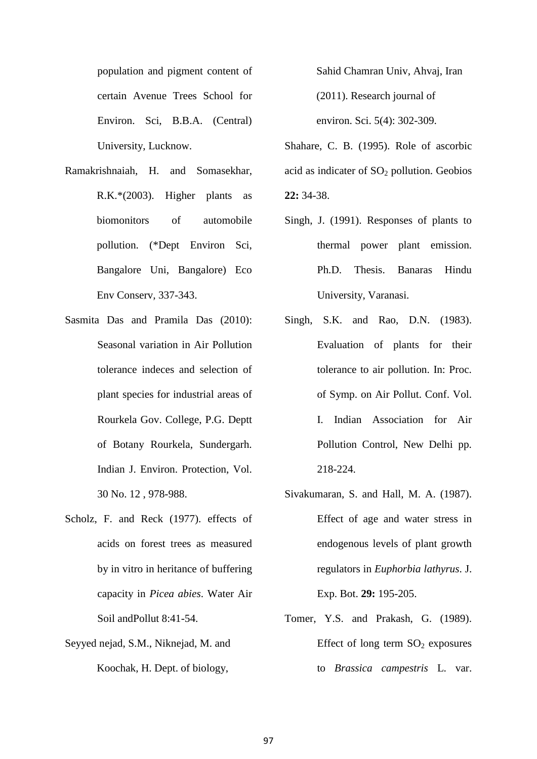population and pigment content of certain Avenue Trees School for Environ. Sci, B.B.A. (Central) University, Lucknow.

- Ramakrishnaiah, H. and Somasekhar, R.K.\*(2003). Higher plants as biomonitors of automobile pollution. (\*Dept Environ Sci, Bangalore Uni, Bangalore) Eco Env Conserv*,* 337-343.
- Sasmita Das and Pramila Das (2010): Seasonal variation in Air Pollution tolerance indeces and selection of plant species for industrial areas of Rourkela Gov. College, P.G. Deptt of Botany Rourkela, Sundergarh. Indian J. Environ. Protection, Vol. 30 No. 12 , 978-988.
- Scholz, F. and Reck (1977). effects of acids on forest trees as measured by in vitro in heritance of buffering capacity in *Picea abies*. Water Air Soil andPollut 8:41-54.
- Seyyed nejad, S.M., Niknejad, M. and Koochak, H. Dept. of biology,

Sahid Chamran Univ, Ahvaj, Iran (2011). Research journal of environ. Sci. 5(4): 302-309.

Shahare, C. B. (1995). Role of ascorbic acid as indicater of  $SO<sub>2</sub>$  pollution. Geobios **22:** 34-38.

- Singh, J. (1991). Responses of plants to thermal power plant emission. Ph.D. Thesis. Banaras Hindu University, Varanasi.
- Singh, S.K. and Rao, D.N. (1983). Evaluation of plants for their tolerance to air pollution. In: Proc. of Symp. on Air Pollut. Conf. Vol. I. Indian Association for Air Pollution Control, New Delhi pp. 218-224.
- Sivakumaran, S. and Hall, M. A. (1987). Effect of age and water stress in endogenous levels of plant growth regulators in *Euphorbia lathyrus*. J. Exp. Bot. **29:** 195-205.
- Tomer, Y.S. and Prakash, G. (1989). Effect of long term  $SO_2$  exposures to *Brassica campestris* L. var.